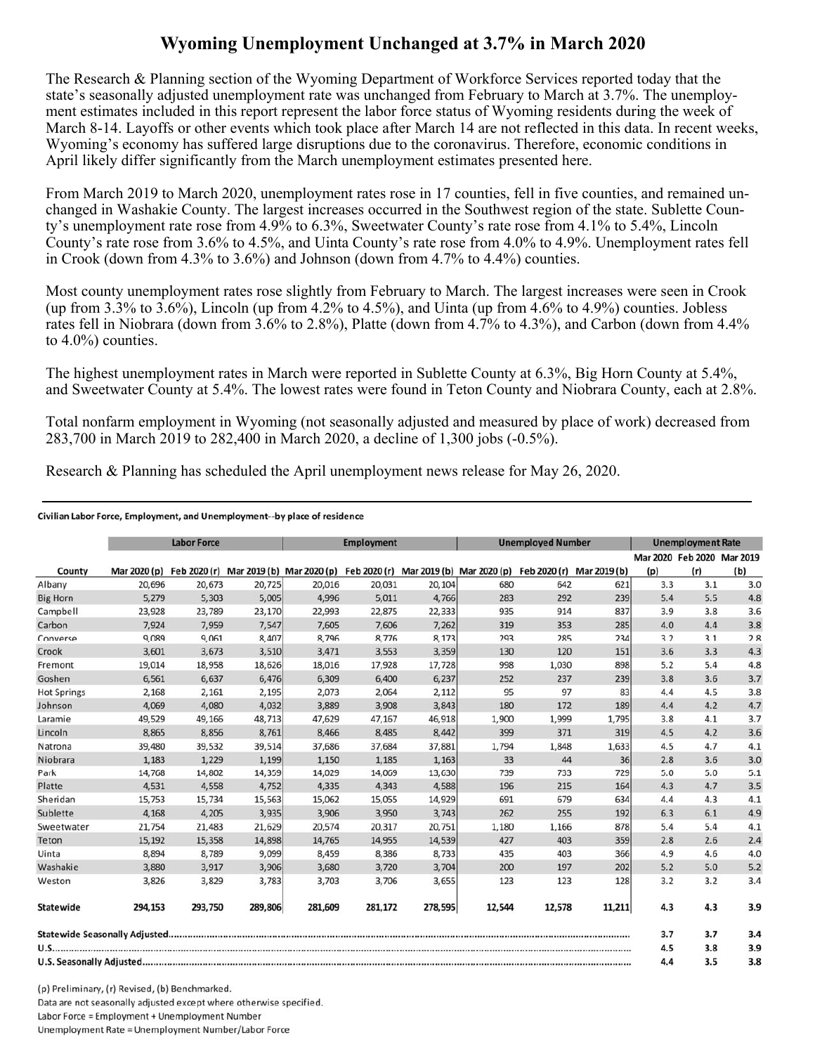## **Wyoming Unemployment Unchanged at 3.7% in March 2020**

The Research & Planning section of the Wyoming Department of Workforce Services reported today that the state's seasonally adjusted unemployment rate was unchanged from February to March at 3.7%. The unemployment estimates included in this report represent the labor force status of Wyoming residents during the week of March 8-14. Layoffs or other events which took place after March 14 are not reflected in this data. In recent weeks, Wyoming's economy has suffered large disruptions due to the coronavirus. Therefore, economic conditions in April likely differ significantly from the March unemployment estimates presented here.

From March 2019 to March 2020, unemployment rates rose in 17 counties, fell in five counties, and remained unchanged in Washakie County. The largest increases occurred in the Southwest region of the state. Sublette County's unemployment rate rose from 4.9% to 6.3%, Sweetwater County's rate rose from 4.1% to 5.4%, Lincoln County's rate rose from 3.6% to 4.5%, and Uinta County's rate rose from 4.0% to 4.9%. Unemployment rates fell in Crook (down from 4.3% to 3.6%) and Johnson (down from 4.7% to 4.4%) counties.

Most county unemployment rates rose slightly from February to March. The largest increases were seen in Crook (up from 3.3% to 3.6%), Lincoln (up from 4.2% to 4.5%), and Uinta (up from 4.6% to 4.9%) counties. Jobless rates fell in Niobrara (down from 3.6% to 2.8%), Platte (down from 4.7% to 4.3%), and Carbon (down from 4.4% to 4.0%) counties.

The highest unemployment rates in March were reported in Sublette County at 6.3%, Big Horn County at 5.4%, and Sweetwater County at 5.4%. The lowest rates were found in Teton County and Niobrara County, each at 2.8%.

Total nonfarm employment in Wyoming (not seasonally adjusted and measured by place of work) decreased from 283,700 in March 2019 to 282,400 in March 2020, a decline of 1,300 jobs (-0.5%).

Research & Planning has scheduled the April unemployment news release for May 26, 2020.

## Civilian Labor Force, Employment, and Unemployment--by place of residence

|                    |              | <b>Labor Force</b> |         |                                                                                            | <b>Employment</b> |         |        | <b>Unemployed Number</b> |              |     | <b>Unemployment Rate</b>          |     |
|--------------------|--------------|--------------------|---------|--------------------------------------------------------------------------------------------|-------------------|---------|--------|--------------------------|--------------|-----|-----------------------------------|-----|
| County             | Mar 2020 (p) |                    |         | Feb 2020 (r) Mar 2019 (b) Mar 2020 (p) Feb 2020 (r) Mar 2019 (b) Mar 2020 (p) Feb 2020 (r) |                   |         |        |                          | Mar 2019 (b) | (p) | Mar 2020 Feb 2020 Mar 2019<br>(r) | (b) |
| Albany             | 20,696       | 20,673             | 20,725  | 20,016                                                                                     | 20,031            | 20,104  | 680    | 642                      | 621          | 3.3 | 3.1                               | 3.0 |
| <b>Big Horn</b>    | 5,279        | 5,303              | 5,005   | 4,996                                                                                      | 5,011             | 4,766   | 283    | 292                      | 239          | 5.4 | 5.5                               | 4.8 |
| Campbell           | 23,928       | 23,789             | 23,170  | 22,993                                                                                     | 22,875            | 22,333  | 935    | 914                      | 837          | 3.9 | 3.8                               | 3.6 |
| Carbon             | 7,924        | 7,959              | 7,547   | 7,605                                                                                      | 7,606             | 7,262   | 319    | 353                      | 285          | 4.0 | 4.4                               | 3.8 |
| Converse           | 9,089        | 9,061              | 8,407   | 8,796                                                                                      | 8,776             | 8,173   | 293    | 285                      | 234          | 3.2 | 3.1                               | 2.8 |
| Crook              | 3,601        | 3,673              | 3,510   | 3,471                                                                                      | 3,553             | 3,359   | 130    | 120                      | 151          | 3.6 | 3.3                               | 4.3 |
| Fremont            | 19,014       | 18,958             | 18,626  | 18,016                                                                                     | 17,928            | 17,728  | 998    | 1,030                    | 898          | 5.2 | 5.4                               | 4.8 |
| Goshen             | 6.561        | 6,637              | 6,476   | 6,309                                                                                      | 6.400             | 6,237   | 252    | 237                      | 239          | 3.8 | 3.6                               | 3.7 |
| <b>Hot Springs</b> | 2,168        | 2,161              | 2,195   | 2,073                                                                                      | 2,064             | 2,112   | 95     | 97                       | 83           | 4.4 | 4.5                               | 3.8 |
| Johnson            | 4,069        | 4,080              | 4,032   | 3,889                                                                                      | 3,908             | 3,843   | 180    | 172                      | 189          | 4.4 | 4.2                               | 4.7 |
| Laramie            | 49,529       | 49,166             | 48,713  | 47,629                                                                                     | 47,167            | 46,918  | 1,900  | 1,999                    | 1,795        | 3.8 | 4.1                               | 3.7 |
| Lincoln            | 8,865        | 8,856              | 8,761   | 8,466                                                                                      | 8,485             | 8,442   | 399    | 371                      | 319          | 4.5 | 4.2                               | 3.6 |
| Natrona            | 39,480       | 39,532             | 39,514  | 37,686                                                                                     | 37,684            | 37,881  | 1,794  | 1,848                    | 1,633        | 4.5 | 4.7                               | 4.1 |
| Niobrara           | 1,183        | 1,229              | 1,199   | 1,150                                                                                      | 1,185             | 1,163   | 33     | 44                       | 36           | 2.8 | 3.6                               | 3.0 |
| Park               | 14,768       | 14,802             | 14,359  | 14,029                                                                                     | 14,069            | 13,630  | 739    | 733                      | 729          | 5.0 | 5.0                               | 5.1 |
| Platte             | 4,531        | 4,558              | 4,752   | 4,335                                                                                      | 4,343             | 4,588   | 196    | 215                      | 164          | 4.3 | 4.7                               | 3.5 |
| Sheridan           | 15,753       | 15,734             | 15,563  | 15,062                                                                                     | 15,055            | 14,929  | 691    | 679                      | 634          | 4.4 | 4.3                               | 4.1 |
| Sublette           | 4,168        | 4,205              | 3,935   | 3,906                                                                                      | 3,950             | 3,743   | 262    | 255                      | 192          | 6.3 | 6.1                               | 4.9 |
| Sweetwater         | 21,754       | 21,483             | 21,629  | 20,574                                                                                     | 20,317            | 20,751  | 1,180  | 1,166                    | 878          | 5.4 | 5.4                               | 4.1 |
| Teton              | 15,192       | 15,358             | 14,898  | 14,765                                                                                     | 14,955            | 14,539  | 427    | 403                      | 359          | 2.8 | 2.6                               | 2.4 |
| Uinta              | 8,894        | 8,789              | 9,099   | 8,459                                                                                      | 8,386             | 8,733   | 435    | 403                      | 366          | 4.9 | 4.6                               | 4.0 |
| Washakie           | 3,880        | 3,917              | 3,906   | 3,680                                                                                      | 3,720             | 3,704   | 200    | 197                      | 202          | 5.2 | 5.0                               | 5.2 |
| Weston             | 3,826        | 3,829              | 3,783   | 3,703                                                                                      | 3,706             | 3,655   | 123    | 123                      | 128          | 3.2 | 3.2                               | 3.4 |
| Statewide          | 294,153      | 293,750            | 289,806 | 281,609                                                                                    | 281,172           | 278,595 | 12,544 | 12,578                   | 11,211       | 4.3 | 4.3                               | 3.9 |
|                    |              |                    |         |                                                                                            |                   |         |        |                          |              | 3.7 | 3.7                               | 3.4 |
|                    |              |                    |         |                                                                                            |                   |         | 4.5    | 3.8                      | 3.9          |     |                                   |     |
|                    |              |                    |         |                                                                                            |                   |         | 4.4    | 3.5                      | 3.8          |     |                                   |     |

(p) Preliminary, (r) Revised, (b) Benchmarked. Data are not seasonally adjusted except where otherwise specified. Labor Force = Employment + Unemployment Number Unemployment Rate = Unemployment Number/Labor Force